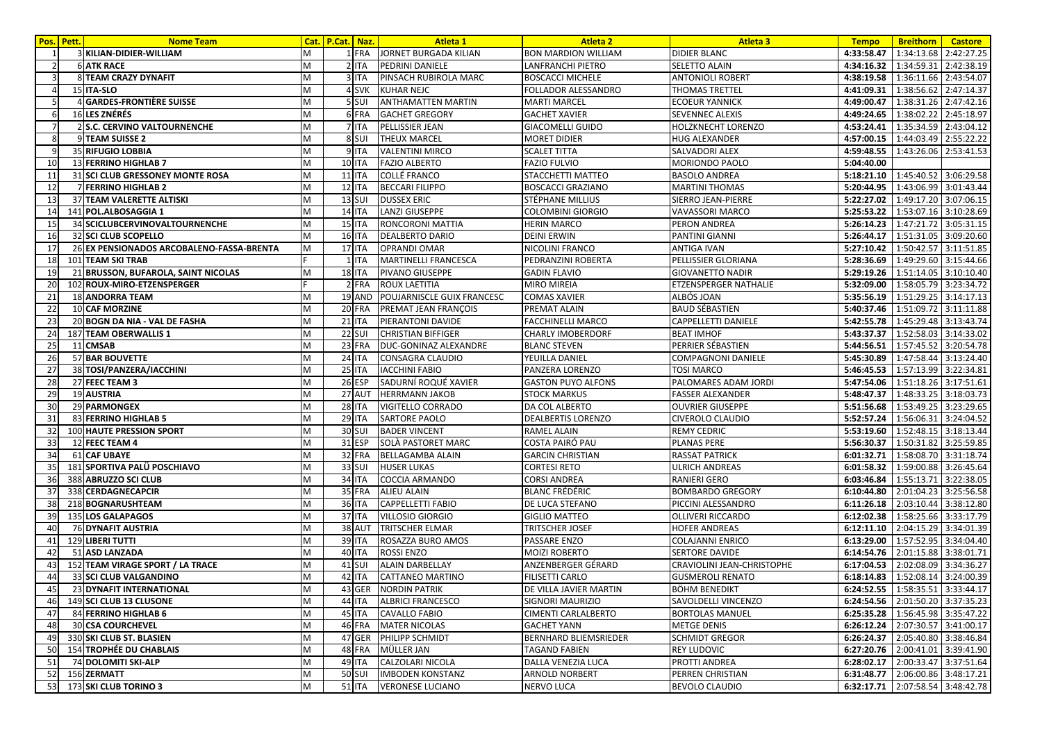|                 | Pos. Pett. | <b>Nome Team</b>                          | Cat. | <b>P.Cat.</b> Naz. | Atleta 1                    | <b>Atleta 2</b>              | <b>Atleta 3</b>              | <b>Tempo</b>                     | <b>Breithorn</b>      | <b>Castore</b>        |
|-----------------|------------|-------------------------------------------|------|--------------------|-----------------------------|------------------------------|------------------------------|----------------------------------|-----------------------|-----------------------|
|                 |            | 3 KILIAN-DIDIER-WILLIAM                   | M    | 1 FRA              | JORNET BURGADA KILIAN       | <b>BON MARDION WILLIAM</b>   | DIDIER BLANC                 | 4:33:58.47                       | 1:34:13.68 2:42:27.25 |                       |
| $\mathcal{P}$   |            | <b>6 ATK RACE</b>                         | M    | 2 ITA              | PEDRINI DANIELE             | LANFRANCHI PIETRO            | SELETTO ALAIN                | 4:34:16.32                       |                       | 1:34:59.31 2:42:38.19 |
|                 |            | 8 TEAM CRAZY DYNAFIT                      | M    | 3 ITA              | PINSACH RUBIROLA MARC       | <b>BOSCACCI MICHELE</b>      | <b>ANTONIOLI ROBERT</b>      | 4:38:19.58                       | 1:36:11.66 2:43:54.07 |                       |
|                 |            | 15 ITA-SLO                                | M    | 4 SVK              | <b>KUHAR NEJC</b>           | FOLLADOR ALESSANDRO          | THOMAS TRETTEL               | 4:41:09.31                       | 1:38:56.62 2:47:14.37 |                       |
| 5               |            | 4 GARDES-FRONTIÈRE SUISSE                 | M    | 5 <sub>SUI</sub>   | <b>ANTHAMATTEN MARTIN</b>   | <b>MARTI MARCEL</b>          | <b>ECOEUR YANNICK</b>        | 4:49:00.47                       |                       | 1:38:31.26 2:47:42.16 |
|                 |            | <b>16 LES ZNÉRÉS</b>                      | M    | 6 FRA              | <b>GACHET GREGORY</b>       | <b>GACHET XAVIER</b>         | SEVENNEC ALEXIS              | 4:49:24.65                       | 1:38:02.22 2:45:18.97 |                       |
|                 |            | 2 S.C. CERVINO VALTOURNENCHE              | M    | 7 ITA              | PELLISSIER JEAN             | <b>GIACOMELLI GUIDO</b>      | HOLZKNECHT LORENZO           | 4:53:24.41                       | 1:35:34.59 2:43:04.12 |                       |
| 8               |            | 9 TEAM SUISSE 2                           | M    | 8 SUI              | <b>THEUX MARCEL</b>         | <b>MORET DIDIER</b>          | <b>HUG ALEXANDER</b>         | 4:57:00.15                       | 1:44:03.49 2:55:22.22 |                       |
|                 |            | 35 RIFUGIO LOBBIA                         | м    | 9 ITA              | <b>VALENTINI MIRCO</b>      | <b>SCALET TITTA</b>          | SALVADORI ALEX               | 4:59:48.55                       | 1:43:26.06 2:53:41.53 |                       |
| 10              |            | 13 FERRINO HIGHLAB 7                      | M    | <b>10 ITA</b>      | <b>FAZIO ALBERTO</b>        | <b>FAZIO FULVIO</b>          | MORIONDO PAOLO               | 5:04:40.00                       |                       |                       |
| 11              |            | 31 SCI CLUB GRESSONEY MONTE ROSA          | M    | $11$ ITA           | <b>COLLÉ FRANCO</b>         | STACCHETTI MATTEO            | <b>BASOLO ANDREA</b>         | 5:18:21.10                       | 1:45:40.52 3:06:29.58 |                       |
| 12              |            | 7 FERRINO HIGHLAB 2                       | M    | 12 ITA             | <b>BECCARI FILIPPO</b>      | <b>BOSCACCI GRAZIANO</b>     | <b>MARTINI THOMAS</b>        | 5:20:44.95                       | 1:43:06.99 3:01:43.44 |                       |
| 13              |            | 37 TEAM VALERETTE ALTISKI                 | M    | <b>13 SUI</b>      | <b>DUSSEX ERIC</b>          | STÉPHANE MILLIUS             | SIERRO JEAN-PIERRE           | 5:22:27.02                       | 1:49:17.20 3:07:06.15 |                       |
| 14              |            | 141 POL.ALBOSAGGIA 1                      | M    | <b>14 ITA</b>      | <b>LANZI GIUSEPPE</b>       | COLOMBINI GIORGIO            | VAVASSORI MARCO              | 5:25:53.22                       | 1:53:07.16 3:10:28.69 |                       |
| 15 <sub>l</sub> |            | 34 SCICLUBCERVINOVALTOURNENCHE            | M    | 15 ITA             | RONCORONI MATTIA            | <b>HERIN MARCO</b>           | PERON ANDREA                 | 5:26:14.23                       | 1:47:21.72 3:05:31.15 |                       |
| 16              |            | 32 SCI CLUB SCOPELLO                      | M    | <b>16 ITA</b>      | <b>DEALBERTO DARIO</b>      | <b>DEINI ERWIN</b>           | PANTINI GIANNI               | 5:26:44.17                       | 1:51:31.05 3:09:20.60 |                       |
| 17              |            | 26 EX PENSIONADOS ARCOBALENO-FASSA-BRENTA | M    | 17 ITA             | <b>OPRANDI OMAR</b>         | NICOLINI FRANCO              | <b>ANTIGA IVAN</b>           | 5:27:10.42                       | 1:50:42.57 3:11:51.85 |                       |
| 18              |            | 101 TEAM SKI TRAB                         |      | 1 ITA              | <b>MARTINELLI FRANCESCA</b> | PEDRANZINI ROBERTA           | PELLISSIER GLORIANA          | 5:28:36.69                       | 1:49:29.60 3:15:44.66 |                       |
| 19              |            | 21 BRUSSON, BUFAROLA, SAINT NICOLAS       | M    | <b>18 ITA</b>      | <b>PIVANO GIUSEPPE</b>      | <b>GADIN FLAVIO</b>          | GIOVANETTO NADIR             | 5:29:19.26                       | 1:51:14.05 3:10:10.40 |                       |
| 20              |            | 102 ROUX-MIRO-ETZENSPERGER                |      | 2 FRA              | <b>ROUX LAETITIA</b>        | <b>MIRO MIREIA</b>           | <b>ETZENSPERGER NATHALIE</b> | 5:32:09.00                       | 1:58:05.79 3:23:34.72 |                       |
| 21              |            | <b>18 ANDORRA TEAM</b>                    | M    | 19 AND             | POUJARNISCLE GUIX FRANCESC  | <b>COMAS XAVIER</b>          | ALBÓS JOAN                   | 5:35:56.19                       | 1:51:29.25 3:14:17.13 |                       |
| 22              |            | 10 CAF MORZINE                            | M    | 20 FRA             | PREMAT JEAN FRANÇOIS        | PREMAT ALAIN                 | <b>BAUD SÉBASTIEN</b>        | 5:40:37.46                       | 1:51:09.72 3:11:11.88 |                       |
| 23              |            | 20 BOGN DA NIA - VAL DE FASHA             | M    | 21 ITA             | PIERANTONI DAVIDE           | <b>FACCHINELLI MARCO</b>     | CAPPELLETTI DANIELE          | 5:42:55.78                       | 1:45:29.48 3:13:43.74 |                       |
| 24              |            | 187 TEAM OBERWALLIS 1                     | M    | <b>22 SUI</b>      | <b>CHRISTIAN BIFFIGER</b>   | <b>CHARLY IMOBERDORF</b>     | <b>BEAT IMHOF</b>            | 5:43:37.37                       | 1:52:58.03            | 3:14:33.02            |
| 25              |            | 11 CMSAB                                  | M    | 23 FRA             | DUC-GONINAZ ALEXANDRE       | <b>BLANC STEVEN</b>          | PERRIER SÉBASTIEN            | 5:44:56.51                       | 1:57:45.52 3:20:54.78 |                       |
| 26              |            | 57 BAR BOUVETTE                           | M    | 24 ITA             | <b>CONSAGRA CLAUDIO</b>     | YEUILLA DANIEL               | COMPAGNONI DANIELE           | 5:45:30.89                       |                       | 1:47:58.44 3:13:24.40 |
| 27              |            | 38 TOSI/PANZERA/IACCHINI                  | M    | <b>25 ITA</b>      | <b>IACCHINI FABIO</b>       | PANZERA LORENZO              | TOSI MARCO                   | 5:46:45.53                       | 1:57:13.99 3:22:34.81 |                       |
| 28              |            | 27 FEEC TEAM 3                            | M    | 26 ESP             | SADURNÍ ROQUÉ XAVIER        | <b>GASTON PUYO ALFONS</b>    | PALOMARES ADAM JORDI         | 5:47:54.06                       | 1:51:18.26 3:17:51.61 |                       |
| 29              |            | <b>19 AUSTRIA</b>                         | M    | 27 AUT             | <b>HERRMANN JAKOB</b>       | <b>STOCK MARKUS</b>          | <b>FASSER ALEXANDER</b>      | 5:48:47.37                       | 1:48:33.25 3:18:03.73 |                       |
| 30              |            | 29 PARMONGEX                              | M    | <b>28 ITA</b>      | <b>VIGITELLO CORRADO</b>    | DA COL ALBERTO               | <b>OUVRIER GIUSEPPE</b>      | 5:51:56.68                       | 1:53:49.25 3:23:29.65 |                       |
| 31              |            | 83 FERRINO HIGHLAB 5                      | M    | <b>29 ITA</b>      | <b>SARTORE PAOLO</b>        | <b>DEALBERTIS LORENZO</b>    | CIVEROLO CLAUDIO             | 5:52:57.24                       | 1:56:06.31 3:24:04.52 |                       |
| 32              |            | <b>100 HAUTE PRESSION SPORT</b>           | M    | 30 SUI             | <b>BADER VINCENT</b>        | <b>RAMEL ALAIN</b>           | <b>REMY CEDRIC</b>           | 5:53:19.60                       | 1:52:48.15 3:18:13.44 |                       |
| 33              |            | 12 FEEC TEAM 4                            | M    | 31 ESP             | SOLÀ PASTORET MARC          | COSTA PAIRÓ PAU              | <b>PLANAS PERE</b>           | 5:56:30.37                       | 1:50:31.82 3:25:59.85 |                       |
| 34              |            | <b>61 CAF UBAYE</b>                       | M    | 32 FRA             | <b>BELLAGAMBA ALAIN</b>     | <b>GARCIN CHRISTIAN</b>      | <b>RASSAT PATRICK</b>        | 6:01:32.71                       | 1:58:08.70 3:31:18.74 |                       |
| 35              |            | 181 SPORTIVA PALÜ POSCHIAVO               | M    | 33 SUI             | <b>HUSER LUKAS</b>          | CORTESI RETO                 | <b>ULRICH ANDREAS</b>        | 6:01:58.32                       | 1:59:00.88 3:26:45.64 |                       |
| 36              |            | 388 ABRUZZO SCI CLUB                      | M    | 34 ITA             | <b>COCCIA ARMANDO</b>       | <b>CORSI ANDREA</b>          | RANIERI GERO                 | 6:03:46.84                       | 1:55:13.71 3:22:38.05 |                       |
| 37              |            | 338 CERDAGNECAPCIR                        | M    | 35 FRA             | <b>ALIEU ALAIN</b>          | <b>BLANC FRÉDÉRIC</b>        | <b>BOMBARDO GREGORY</b>      | 6:10:44.80                       | 2:01:04.23 3:25:56.58 |                       |
| 38              |            | 218 BOGNARUSHTEAM                         | M    | <b>36 ITA</b>      | <b>CAPPELLETTI FABIO</b>    | DE LUCA STEFANO              | PICCINI ALESSANDRO           | 6:11:26.18                       | 2:03:10.44            | 3:38:12.80            |
| -39             |            | 135 LOS GALAPAGOS                         | M    | 37 ITA             | <b>VILLOSIO GIORGIO</b>     | <b>GIGLIO MATTEO</b>         | OLLIVERI RICCARDO            | 6:12:02.38                       | 1:58:25.66 3:33:17.79 |                       |
| 40              |            | <b>76 DYNAFIT AUSTRIA</b>                 | M    | 38 AUT             | <b>TRITSCHER ELMAR</b>      | <b>TRITSCHER JOSEF</b>       | <b>HOFER ANDREAS</b>         | 6:12:11.10 2:04:15.29 3:34:01.39 |                       |                       |
| 41              |            | 129 LIBERI TUTTI                          | M    | 39 ITA             | ROSAZZA BURO AMOS           | PASSARE ENZO                 | COLAJANNI ENRICO             | 6:13:29.00                       | 1:57:52.95 3:34:04.40 |                       |
| 42              |            | 51 ASD LANZADA                            | M    | <b>40 ITA</b>      | <b>ROSSI ENZO</b>           | MOIZI ROBERTO                | SERTORE DAVIDE               | 6:14:54.76                       | 2:01:15.88 3:38:01.71 |                       |
| 43              |            | 152 TEAM VIRAGE SPORT / LA TRACE          |      | 41 SUI             | <b>ALAIN DARBELLAY</b>      | ANZENBERGER GÉRARD           | CRAVIOLINI JEAN-CHRISTOPHE   | 6:17:04.53                       | 2:02:08.09 3:34:36.27 |                       |
| 44              |            | 33 SCI CLUB VALGANDINO                    | M    | 42 ITA             | <b>CATTANEO MARTINO</b>     | <b>FILISETTI CARLO</b>       | <b>GUSMEROLI RENATO</b>      | 6:18:14.83 1:52:08.14 3:24:00.39 |                       |                       |
| 45              |            | 23 DYNAFIT INTERNATIONAL                  | M    |                    | 43 GER NORDIN PATRIK        | DE VILLA JAVIER MARTIN       | <b>BÖHM BENEDIKT</b>         | 6:24:52.55 1:58:35.51 3:33:44.17 |                       |                       |
| 46              |            | 149 SCI CLUB 13 CLUSONE                   | M    | 44 ITA             | <b>ALBRICI FRANCESCO</b>    | SIGNORI MAURIZIO             | SAVOLDELLI VINCENZO          | 6:24:54.56 2:01:50.20 3:37:35.23 |                       |                       |
| 47              |            | 84 FERRINO HIGHLAB 6                      | M    |                    | 45 ITA CAVALLO FABIO        | <b>CIMENTI CARLALBERTO</b>   | <b>BORTOLAS MANUEL</b>       | 6:25:35.28 1:56:45.98 3:35:47.22 |                       |                       |
| 48              |            | <b>30 CSA COURCHEVEL</b>                  | M    |                    | 46 FRA MATER NICOLAS        | <b>GACHET YANN</b>           | <b>METGE DENIS</b>           | 6:26:12.24 2:07:30.57 3:41:00.17 |                       |                       |
| 49              |            | 330 SKI CLUB ST. BLASIEN                  | M    |                    | 47 GER PHILIPP SCHMIDT      | <b>BERNHARD BLIEMSRIEDER</b> | <b>SCHMIDT GREGOR</b>        | 6:26:24.37 2:05:40.80 3:38:46.84 |                       |                       |
| 50              |            | 154 TROPHÉE DU CHABLAIS                   | M    | 48 FRA             | MÜLLER JAN                  | TAGAND FABIEN                | <b>REY LUDOVIC</b>           | 6:27:20.76 2:00:41.01 3:39:41.90 |                       |                       |
| 51              |            | 74 DOLOMITI SKI-ALP                       | M    | <b>49 ITA</b>      | CALZOLARI NICOLA            | DALLA VENEZIA LUCA           | PROTTI ANDREA                | 6:28:02.17 2:00:33.47 3:37:51.64 |                       |                       |
|                 |            | 52 156 ZERMATT                            | M    | <b>50 SUI</b>      | <b>IMBODEN KONSTANZ</b>     | <b>ARNOLD NORBERT</b>        | PERREN CHRISTIAN             | 6:31:48.77 2:06:00.86 3:48:17.21 |                       |                       |
|                 |            | 53 173 SKI CLUB TORINO 3                  | M    | 51 ITA             | <b>VERONESE LUCIANO</b>     | <b>NERVO LUCA</b>            | <b>BEVOLO CLAUDIO</b>        | 6:32:17.71 2:07:58.54 3:48:42.78 |                       |                       |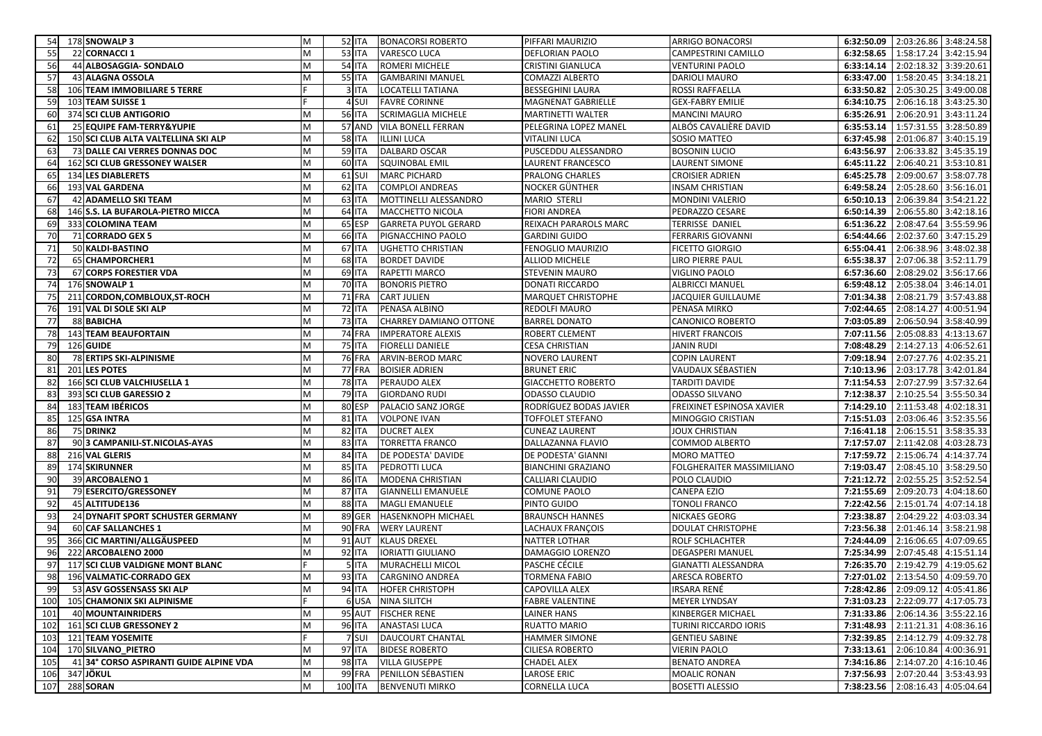| -54 <b>1</b> | 178 SNOWALP 3                                         | M      |           | <b>52 ITA</b>   | <b>BONACORSI ROBERTO</b>                         | PIFFARI MAURIZIO                       | <b>ARRIGO BONACORSI</b>                      |            | 6:32:50.09 2:03:26.86 3:48:24.58                                     |
|--------------|-------------------------------------------------------|--------|-----------|-----------------|--------------------------------------------------|----------------------------------------|----------------------------------------------|------------|----------------------------------------------------------------------|
| 55           | 22 CORNACCI 1                                         | M      |           | <b>53 ITA</b>   | <b>VARESCO LUCA</b>                              | <b>DEFLORIAN PAOLO</b>                 | CAMPESTRINI CAMILLO                          | 6:32:58.65 | 1:58:17.24 3:42:15.94                                                |
| 56           | 44 ALBOSAGGIA- SONDALO                                | M      |           | <b>54 ITA</b>   | <b>ROMERI MICHELE</b>                            | CRISTINI GIANLUCA                      | <b>VENTURINI PAOLO</b>                       | 6:33:14.14 | 2:02:18.32<br>3:39:20.61                                             |
| 57           | 43 ALAGNA OSSOLA                                      | M      |           | 55 ITA          | <b>GAMBARINI MANUEL</b>                          | COMAZZI ALBERTO                        | <b>DARIOLI MAURO</b>                         | 6:33:47.00 | 1:58:20.45 3:34:18.21                                                |
| 58           | 106 TEAM IMMOBILIARE 5 TERRE                          |        |           | 3 ITA           | LOCATELLI TATIANA                                | <b>BESSEGHINI LAURA</b>                | ROSSI RAFFAELLA                              | 6:33:50.82 | 2:05:30.25 3:49:00.08                                                |
| 59           | 103 TEAM SUISSE 1                                     |        |           | 4 SUI           | <b>FAVRE CORINNE</b>                             | MAGNENAT GABRIELLE                     | <b>GEX-FABRY EMILIE</b>                      | 6:34:10.75 | 2:06:16.18 3:43:25.30                                                |
| 60           | 374 SCI CLUB ANTIGORIO                                | M      |           | <b>56 ITA</b>   | SCRIMAGLIA MICHELE                               | <b>MARTINETTI WALTER</b>               | <b>MANCINI MAURO</b>                         | 6:35:26.91 | 2:06:20.91 3:43:11.24                                                |
| 61           | 25 EQUIPE FAM-TERRY&YUPIE                             | M      |           | 57 AND          | <b>VILA BONELL FERRAN</b>                        | PELEGRINA LOPEZ MANEL                  | ALBÓS CAVALIÈRE DAVID                        | 6:35:53.14 | 1:57:31.55 3:28:50.89                                                |
| 62           | 150 SCI CLUB ALTA VALTELLINA SKI ALP                  | M      |           | <b>58 ITA</b>   | <b>ILLINI LUCA</b>                               | VITALINI LUCA                          | SOSIO MATTEO                                 | 6:37:45.98 | 2:01:06.87 3:40:15.19                                                |
| 63           | 73 DALLE CAI VERRES DONNAS DOC                        | M      |           | <b>59 ITA</b>   | <b>DALBARD OSCAR</b>                             | PUSCEDDU ALESSANDRO                    | <b>BOSONIN LUCIO</b>                         | 6:43:56.97 | 2:06:33.82<br>3:45:35.19                                             |
| 64           | 162 SCI CLUB GRESSONEY WALSER                         | M      |           | <b>60 ITA</b>   | SQUINOBAL EMIL                                   | LAURENT FRANCESCO                      | LAURENT SIMONE                               | 6:45:11.22 | 2:06:40.21<br>3:53:10.81                                             |
| 65           | 134 LES DIABLERETS                                    | M      |           | 61 SUI          | <b>MARC PICHARD</b>                              | PRALONG CHARLES                        | <b>CROISIER ADRIEN</b>                       | 6:45:25.78 | 2:09:00.67<br>3:58:07.78                                             |
| 66           | 193 VAL GARDENA                                       | M      |           | <b>62 ITA</b>   | <b>COMPLOI ANDREAS</b>                           | NOCKER GÜNTHER                         | <b>INSAM CHRISTIAN</b>                       | 6:49:58.24 | 2:05:28.60 3:56:16.01                                                |
| 67           | 42 ADAMELLO SKI TEAM                                  | M      |           | <b>63 ITA</b>   | MOTTINELLI ALESSANDRO                            | MARIO STERLI                           | <b>MONDINI VALERIO</b>                       | 6:50:10.13 | 2:06:39.84<br>3:54:21.22                                             |
| 68           | 146 S.S. LA BUFAROLA-PIETRO MICCA                     | M      |           | 64 ITA          | MACCHETTO NICOLA                                 | <b>FIORI ANDREA</b>                    | PEDRAZZO CESARE                              | 6:50:14.39 | 2:06:55.80<br>3:42:18.16                                             |
| 69           | 333 COLOMINA TEAM                                     | M      |           | 65 ESP          | <b>GARRETA PUYOL GERARD</b>                      | REIXACH PARAROLS MARC                  | <b>TERRISSE DANIEL</b>                       | 6:51:36.22 | 2:08:47.64<br>3:55:59.96                                             |
| 70           | 71 CORRADO GEX 5                                      | M      |           | <b>66 ITA</b>   | PIGNACCHINO PAOLO                                | <b>GARDINI GUIDO</b>                   | <b>FERRARIS GIOVANNI</b>                     | 6:54:44.66 | 2:02:37.60<br>3:47:15.29                                             |
| 71           | 50 KALDI-BASTINO                                      | M      |           | 67 ITA          | <b>UGHETTO CHRISTIAN</b>                         | FENOGLIO MAURIZIO                      | <b>FICETTO GIORGIO</b>                       | 6:55:04.41 | 2:06:38.96<br>3:48:02.38                                             |
| 72           | 65 CHAMPORCHER1                                       | M      |           | <b>68 ITA</b>   | <b>BORDET DAVIDE</b>                             | <b>ALLIOD MICHELE</b>                  | LIRO PIERRE PAUL                             | 6:55:38.37 | 2:07:06.38 3:52:11.79                                                |
| 73           | 67 CORPS FORESTIER VDA                                | M      |           | 69 ITA          | <b>RAPETTI MARCO</b>                             | STEVENIN MAURO                         | VIGLINO PAOLO                                | 6:57:36.60 | 2:08:29.02<br>3:56:17.66                                             |
| 74           | 176 SNOWALP 1                                         | M      |           | <b>70 ITA</b>   | <b>BONORIS PIETRO</b>                            | <b>DONATI RICCARDO</b>                 | <b>ALBRICCI MANUEL</b>                       | 6:59:48.12 | 2:05:38.04<br>3:46:14.01                                             |
| 75           | 211 CORDON, COMBLOUX, ST-ROCH                         | M      |           | 71 FRA          | <b>CART JULIEN</b>                               | MARQUET CHRISTOPHE                     | JACQUIER GUILLAUME                           | 7:01:34.38 | 2:08:21.79 3:57:43.88                                                |
| 76           | 191 VAL DI SOLE SKI ALP                               | M      |           | <b>72 ITA</b>   | PENASA ALBINO                                    | REDOLFI MAURO                          | PENASA MIRKO                                 | 7:02:44.65 | 2:08:14.27<br>4:00:51.94                                             |
| 77           | 88 BABICHA                                            | M      |           | <b>73 ITA</b>   | <b>CHARREY DAMIANO OTTONE</b>                    | <b>BARREL DONATO</b>                   | CANONICO ROBERTO                             | 7:03:05.89 | 2:06:50.94<br>3:58:40.99                                             |
| 78           | <b>143 TEAM BEAUFORTAIN</b>                           | M      |           | 74 FRA          | <b>IMPERATORE ALEXIS</b>                         | ROBERT CLEMENT                         | <b>HIVERT FRANCOIS</b>                       | 7:07:11.56 | 2:05:08.83<br>4:13:13.67                                             |
| 79           | 126 GUIDE                                             | M      |           | 75 ITA          | <b>FIORELLI DANIELE</b>                          | CESA CHRISTIAN                         | <b>JANIN RUDI</b>                            | 7:08:48.29 | 2:14:27.13<br>4:06:52.61                                             |
| 80           | 78 ERTIPS SKI-ALPINISME                               | M      |           | <b>76 FRA</b>   | <b>ARVIN-BEROD MARC</b>                          | <b>NOVERO LAURENT</b>                  | <b>COPIN LAURENT</b>                         | 7:09:18.94 | 2:07:27.76 4:02:35.21                                                |
| 81           | 201 LES POTES                                         | M      |           | 77 FRA          | <b>BOISIER ADRIEN</b>                            | <b>BRUNET ERIC</b>                     | VAUDAUX SÉBASTIEN                            | 7:10:13.96 | 2:03:17.78 3:42:01.84                                                |
| 82           | 166 SCI CLUB VALCHIUSELLA 1                           | M      |           | <b>78 ITA</b>   | PERAUDO ALEX                                     | <b>GIACCHETTO ROBERTO</b>              | <b>TARDITI DAVIDE</b>                        | 7:11:54.53 | 2:07:27.99 3:57:32.64                                                |
| 83           | 393 SCI CLUB GARESSIO 2                               | M      |           | 79 ITA          | <b>GIORDANO RUDI</b>                             | ODASSO CLAUDIO                         | <b>ODASSO SILVANO</b>                        | 7:12:38.37 | 2:10:25.54 3:55:50.34                                                |
| 84           | 183 TEAM IBÉRICOS                                     | M      |           | 80 ESP          | PALACIO SANZ JORGE                               | RODRÍGUEZ BODAS JAVIER                 | FREIXINET ESPINOSA XAVIER                    | 7:14:29.10 | 4:02:18.31<br>2:11:53.48                                             |
| 85           | 125 GSA INTRA                                         | M      |           | 81 ITA          | <b>VOLPONE IVAN</b>                              | <b>TOFFOLET STEFANO</b>                | MINOGGIO CRISTIAN                            | 7:15:51.03 | 2:03:06.46<br>3:52:35.56                                             |
| 86           | 75 DRINK2                                             | M      |           | 82 ITA          | <b>DUCRET ALEX</b>                               | <b>CUNEAZ LAURENT</b>                  | <b>JOUX CHRISTIAN</b>                        | 7:16:41.18 | 2:06:15.51 3:58:35.33                                                |
| 87           | 90 3 CAMPANILI-ST.NICOLAS-AYAS                        | М      |           | <b>83 ITA</b>   | <b>TORRETTA FRANCO</b>                           | DALLAZANNA FLAVIO                      | COMMOD ALBERTO                               | 7:17:57.07 | 2:11:42.08<br>4:03:28.73                                             |
| 88           | 216 VAL GLERIS                                        | M      |           | 84 ITA          | DE PODESTA' DAVIDE                               | DE PODESTA' GIANNI                     | <b>MORO MATTEO</b>                           | 7:17:59.72 | 4:14:37.74<br>2:15:06.74                                             |
| 89           | <b>174 SKIRUNNER</b>                                  | M      |           | <b>85 ITA</b>   | PEDROTTI LUCA                                    | <b>BIANCHINI GRAZIANO</b>              | FOLGHERAITER MASSIMILIANO                    | 7:19:03.47 | 2:08:45.10 3:58:29.50                                                |
| 90           | 39 ARCOBALENO 1                                       | M      |           | <b>86 ITA</b>   | MODENA CHRISTIAN                                 | CALLIARI CLAUDIO                       | POLO CLAUDIO                                 | 7:21:12.72 | 3:52:52.54<br>2:02:55.25                                             |
| 91           | 79 ESERCITO/GRESSONEY                                 | M      |           | 87 ITA          | <b>GIANNELLI EMANUELE</b>                        | COMUNE PAOLO                           | CANEPA EZIO                                  | 7:21:55.69 | 2:09:20.73<br>4:04:18.60                                             |
| 92           | 45 ALTITUDE136                                        | M      |           | <b>88 ITA</b>   | MAGLI EMANUELE                                   | PINTO GUIDO                            | <b>TONOLI FRANCO</b>                         | 7:22:42.56 | 2:15:01.74<br>4:07:14.18                                             |
| 93           | 24 DYNAFIT SPORT SCHUSTER GERMANY                     | M      |           | 89 GER          | <b>HASENKNOPH MICHAEL</b>                        | <b>BRAUNSCH HANNES</b>                 | NICKAES GEORG                                | 7:23:38.87 | 2:04:29.22<br>4:03:03.34                                             |
| 94           | <b>60 CAF SALLANCHES 1</b>                            | M      |           | <b>90 FRA</b>   | <b>WERY LAURENT</b>                              | LACHAUX FRANÇOIS                       | <b>DOULAT CHRISTOPHE</b>                     | 7:23:56.38 | 2:01:46.14<br>3:58:21.98                                             |
| 95           | 366 CIC MARTINI/ALLGÄUSPEED                           | M      |           | <b>91 AUT</b>   | <b>KLAUS DREXEL</b>                              | NATTER LOTHAR                          | ROLF SCHLACHTER                              | 7:24:44.09 | 2:16:06.65<br>4:07:09.65                                             |
| 96<br>97     | 222 ARCOBALENO 2000                                   | M      |           | 92 ITA<br>5 ITA | <b>IORIATTI GIULIANO</b><br>MURACHELLI MICOL     | DAMAGGIO LORENZO<br>PASCHE CÉCILE      | DEGASPERI MANUEL                             | 7:25:34.99 | 2:07:45.48<br>4:15:51.14<br>2:19:42.79 4:19:05.62                    |
|              | 117 SCI CLUB VALDIGNE MONT BLANC                      |        |           | <b>93 ITA</b>   |                                                  |                                        | GIANATTI ALESSANDRA<br><b>ARESCA ROBERTO</b> | 7:26:35.70 |                                                                      |
| 98           | 196 VALMATIC-CORRADO GEX<br>53 ASV GOSSENSASS SKI ALP | M<br>M |           |                 | <b>CARGNINO ANDREA</b><br>94 ITA HOFER CHRISTOPH | TORMENA FABIO<br><b>CAPOVILLA ALEX</b> | <b>IRSARA RENÉ</b>                           |            | 7:27:01.02 2:13:54.50 4:09:59.70<br>7:28:42.86 2:09:09.12 4:05:41.86 |
|              |                                                       |        |           |                 |                                                  |                                        |                                              |            |                                                                      |
| 100<br>101   | 105 CHAMONIX SKI ALPINISME<br>40 MOUNTAINRIDERS       | M      |           |                 | 6 USA NINA SILITCH<br>95 AUT FISCHER RENE        | <b>FABRE VALENTINE</b><br>LAINER HANS  | <b>MEYER LYNDSAY</b><br>KINBERGER MICHAEL    |            | 7:31:03.23 2:22:09.77 4:17:05.73<br>7:31:33.86 2:06:14.36 3:55:22.16 |
|              | 102 161 SCI CLUB GRESSONEY 2                          | M      |           | <b>96 ITA</b>   | <b>ANASTASI LUCA</b>                             | <b>RUATTO MARIO</b>                    | TURINI RICCARDO IORIS                        |            | 7:31:48.93 2:11:21.31 4:08:36.16                                     |
| 103          | 121 TEAM YOSEMITE                                     |        |           | 7 SUI           | <b>DAUCOURT CHANTAL</b>                          | HAMMER SIMONE                          | <b>GENTIEU SABINE</b>                        |            | 7:32:39.85 2:14:12.79 4:09:32.78                                     |
|              | 104 170 SILVANO_PIETRO                                | M      |           | 97 ITA          | <b>BIDESE ROBERTO</b>                            | CILIESA ROBERTO                        | <b>VIERIN PAOLO</b>                          |            | 7:33:13.61 2:06:10.84 4:00:36.91                                     |
| 105          | 41 34° CORSO ASPIRANTI GUIDE ALPINE VDA               | M      |           | 98 ITA          | <b>VILLA GIUSEPPE</b>                            | <b>CHADEL ALEX</b>                     | <b>BENATO ANDREA</b>                         |            | 7:34:16.86 2:14:07.20 4:16:10.46                                     |
| 106          | 347 JÖKUL                                             | M      |           | <b>99 FRA</b>   | PENILLON SÉBASTIEN                               | LAROSE ERIC                            | <b>MOALIC RONAN</b>                          |            | 7:37:56.93 2:07:20.44 3:53:43.93                                     |
|              | 107 288 SORAN                                         | M      | $100$ ITA |                 | <b>BENVENUTI MIRKO</b>                           | CORNELLA LUCA                          | <b>BOSETTI ALESSIO</b>                       |            | 7:38:23.56 2:08:16.43 4:05:04.64                                     |
|              |                                                       |        |           |                 |                                                  |                                        |                                              |            |                                                                      |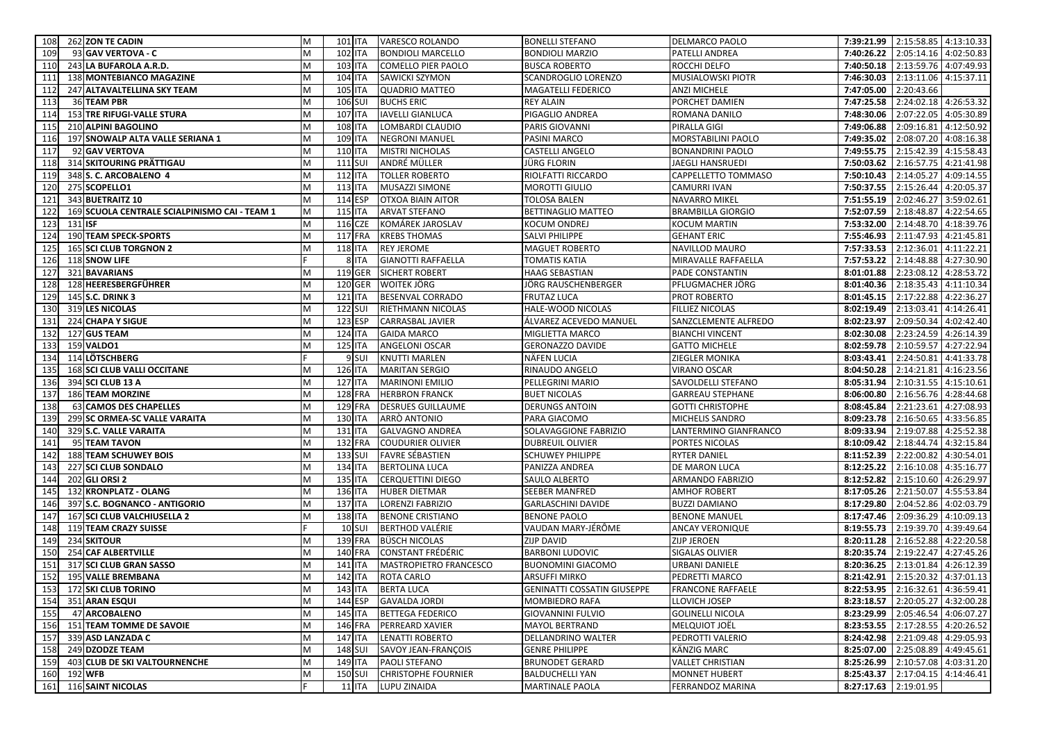| 262 ZON TE CADIN<br>108                              | M         | 101 ITA          | <b>VARESCO ROLANDO</b>     | <b>BONELLI STEFANO</b>             | DELMARCO PAOLO           |                       | 7:39:21.99 2:15:58.85 4:13:10.33 |            |
|------------------------------------------------------|-----------|------------------|----------------------------|------------------------------------|--------------------------|-----------------------|----------------------------------|------------|
| 109<br>93 GAV VERTOVA - C                            | M         | <b>102 ITA</b>   | <b>BONDIOLI MARCELLO</b>   | <b>BONDIOLI MARZIO</b>             | <b>PATELLI ANDREA</b>    | 7:40:26.22            | 2:05:14.16 4:02:50.83            |            |
| 110<br>243 LA BUFAROLA A.R.D.                        | M         | <b>103 ITA</b>   | <b>COMELLO PIER PAOLO</b>  | <b>BUSCA ROBERTO</b>               | ROCCHI DELFO             | 7:40:50.18            | 2:13:59.76 4:07:49.93            |            |
| 111<br>138 MONTEBIANCO MAGAZINE                      | M         | <b>104 ITA</b>   | SAWICKI SZYMON             | SCANDROGLIO LORENZO                | <b>MUSIALOWSKI PIOTR</b> | 7:46:30.03            | 2:13:11.06                       | 4:15:37.11 |
| 112<br>247 ALTAVALTELLINA SKY TEAM                   | M         | <b>105 ITA</b>   | <b>QUADRIO MATTEO</b>      | MAGATELLI FEDERICO                 | ANZI MICHELE             | 7:47:05.00            | 2:20:43.66                       |            |
| 113<br>36 TEAM PBR                                   | M         | 106 SUI          | <b>BUCHS ERIC</b>          | <b>REY ALAIN</b>                   | PORCHET DAMIEN           | 7:47:25.58            | 2:24:02.18 4:26:53.32            |            |
| 153 TRE RIFUGI-VALLE STURA<br>114                    | M         | <b>107 ITA</b>   | <b>IAVELLI GIANLUCA</b>    | PIGAGLIO ANDREA                    | ROMANA DANILO            | 7:48:30.06            | 2:07:22.05                       | 4:05:30.89 |
| 115<br>210 ALPINI BAGOLINO                           | M         | <b>108 ITA</b>   | LOMBARDI CLAUDIO           | PARIS GIOVANNI                     | PIRALLA GIGI             | 7:49:06.88            | 2:09:16.81 4:12:50.92            |            |
| 197 SNOWALP ALTA VALLE SERIANA 1<br>116              | M         | <b>109 ITA</b>   | <b>NEGRONI MANUEL</b>      | PASINI MARCO                       | MORSTABILINI PAOLO       | 7:49:35.02            | 2:08:07.20 4:08:16.38            |            |
| 117<br>92 GAV VERTOVA                                | M         | <b>110 ITA</b>   | <b>MISTRI NICHOLAS</b>     | CASTELLI ANGELO                    | <b>BONANDRINI PAOLO</b>  | 7:49:55.75            | 2:15:42.39 4:15:58.43            |            |
| 118<br>314 SKITOURING PRÄTTIGAU                      | M         | 111 SUI          | ANDRÉ MÜLLER               | JÜRG FLORIN                        | JAEGLI HANSRUEDI         | 7:50:03.62            | 2:16:57.75 4:21:41.98            |            |
| 348 S.C. ARCOBALENO 4<br>119                         | M         | <b>112 ITA</b>   | <b>TOLLER ROBERTO</b>      | RIOLFATTI RICCARDO                 | CAPPELLETTO TOMMASO      | 7:50:10.43            | 2:14:05.27                       | 4:09:14.55 |
| 120<br>275 SCOPELLO1                                 | M         | <b>113 ITA</b>   | <b>MUSAZZI SIMONE</b>      | <b>MOROTTI GIULIO</b>              | <b>CAMURRI IVAN</b>      | 7:50:37.55            | 2:15:26.44 4:20:05.37            |            |
| 121<br>343 BUETRAITZ 10                              | M         | 114 ESP          | <b>OTXOA BIAIN AITOR</b>   | TOLOSA BALEN                       | <b>NAVARRO MIKEL</b>     | 7:51:55.19            | 2:02:46.27                       | 3:59:02.61 |
| 122<br>169 SCUOLA CENTRALE SCIALPINISMO CAI - TEAM 1 | M         | <b>115 ITA</b>   | <b>ARVAT STEFANO</b>       | BETTINAGLIO MATTEO                 | <b>BRAMBILLA GIORGIO</b> | 7:52:07.59            | 2:18:48.87                       | 4:22:54.65 |
| 123<br>131 ISF                                       | M         | 116 CZE          | KOMÁREK JAROSLAV           | <b>KOCUM ONDREJ</b>                | <b>KOCUM MARTIN</b>      | 7:53:32.00            | 2:14:48.70 4:18:39.76            |            |
| 190 TEAM SPECK-SPORTS<br>124                         | M         | 117 FRA          | <b>KREBS THOMAS</b>        | SALVI PHILIPPE                     | <b>GEHANT ERIC</b>       | 7:55:46.93            | 2:11:47.93                       | 4:21:45.81 |
| <b>165 SCI CLUB TORGNON 2</b><br>125                 | M         | <b>118 ITA</b>   | <b>REY JEROME</b>          | <b>MAGUET ROBERTO</b>              | NAVILLOD MAURO           | 7:57:33.53            | 2:12:36.01                       | 4:11:22.21 |
| 126<br>118 SNOW LIFE                                 |           | 8 ITA            | <b>GIANOTTI RAFFAELLA</b>  | <b>TOMATIS KATIA</b>               | MIRAVALLE RAFFAELLA      | 7:57:53.22            | 2:14:48.88                       | 4:27:30.90 |
| 127<br>321 BAVARIANS                                 | M         | 119 GER          | <b>SICHERT ROBERT</b>      | HAAG SEBASTIAN                     | PADE CONSTANTIN          | 8:01:01.88            | 2:23:08.12                       | 4:28:53.72 |
| 128<br>128 HEERESBERGFÜHRER                          | M         | <b>120 GER</b>   | WOITEK JÖRG                | JÖRG RAUSCHENBERGER                | PFLUGMACHER JÖRG         | 8:01:40.36            | 2:18:35.43                       | 4:11:10.34 |
| 129<br>145 S.C. DRINK 3                              | M         | <b>121 ITA</b>   | <b>BESENVAL CORRADO</b>    | <b>FRUTAZ LUCA</b>                 | PROT ROBERTO             | 8:01:45.15            | 2:17:22.88                       | 4:22:36.27 |
| 319 LES NICOLAS<br>130                               | M         | <b>122 SUI</b>   | RIETHMANN NICOLAS          | HALE-WOOD NICOLAS                  | <b>FILLIEZ NICOLAS</b>   | 8:02:19.49            | 2:13:03.41                       | 4:14:26.41 |
| 131<br>224 CHAPA Y SIGUE                             | M         | 123 ESP          | <b>CARRASBAL JAVIER</b>    | ÁLVAREZ ACEVEDO MANUEL             | SANZCLEMENTE ALFREDO     | 8:02:23.97            | 2:09:50.34 4:02:42.40            |            |
| 132<br>127 GUS TEAM                                  | M         | <b>124 ITA</b>   | <b>GAIDA MARCO</b>         | MIGLIETTA MARCO                    | <b>BIANCHI VINCENT</b>   | 8:02:30.08            | 2:23:24.59                       | 4:26:14.39 |
| 159 VALDO1<br>133                                    | M         | <b>125 ITA</b>   | <b>ANGELONI OSCAR</b>      | <b>GERONAZZO DAVIDE</b>            | <b>GATTO MICHELE</b>     | 8:02:59.78            | 2:10:59.57                       | 4:27:22.94 |
| 114 LÖTSCHBERG<br>134                                |           | 9 <sub>SUI</sub> | <b>KNUTTI MARLEN</b>       | <b>NÄFEN LUCIA</b>                 | ZIEGLER MONIKA           | 8:03:43.41            | 2:24:50.81                       | 4:41:33.78 |
| 135<br><b>168 SCI CLUB VALLI OCCITANE</b>            | M         | <b>126 ITA</b>   | <b>MARITAN SERGIO</b>      | RINAUDO ANGELO                     | VIRANO OSCAR             | 8:04:50.28            | 2:14:21.81                       | 4:16:23.56 |
| 136<br>394 SCI CLUB 13 A                             | M         | <b>127 ITA</b>   | <b>MARINONI EMILIO</b>     | PELLEGRINI MARIO                   | SAVOLDELLI STEFANO       | 8:05:31.94            | 2:10:31.55 4:15:10.61            |            |
| 137<br>186 TEAM MORZINE                              | M         | <b>128 FRA</b>   | <b>HERBRON FRANCK</b>      | <b>BUET NICOLAS</b>                | <b>GARREAU STEPHANE</b>  | 8:06:00.80            | 2:16:56.76 4:28:44.68            |            |
| 138<br>63 CAMOS DES CHAPELLES                        | M         | <b>129 FRA</b>   | <b>DESRUES GUILLAUME</b>   | <b>DERUNGS ANTOIN</b>              | <b>GOTTI CHRISTOPHE</b>  | 8:08:45.84            | 2:21:23.61                       | 4:27:08.93 |
| 139<br>299 SC ORMEA-SC VALLE VARAITA                 | M         | <b>130 ITA</b>   | ARRÒ ANTONIO               | PARA GIACOMO                       | MICHELIS SANDRO          | 8:09:23.78            | 2:16:50.65 4:33:56.85            |            |
| 140<br>329 S.C. VALLE VARAITA                        | M         | 131 ITA          | <b>GALVAGNO ANDREA</b>     | SOLAVAGGIONE FABRIZIO              | LANTERMINO GIANFRANCO    | 8:09:33.94            | 2:19:07.88 4:25:52.38            |            |
| 141<br>95 TEAM TAVON                                 | M         | <b>132 FRA</b>   | <b>COUDURIER OLIVIER</b>   | <b>DUBREUIL OLIVIER</b>            | PORTES NICOLAS           | 8:10:09.42            | 2:18:44.74                       | 4:32:15.84 |
| <b>188 TEAM SCHUWEY BOIS</b><br>142                  | M         | 133 SUI          | <b>FAVRE SÉBASTIEN</b>     | <b>SCHUWEY PHILIPPE</b>            | <b>RYTER DANIEL</b>      | 8:11:52.39            | 2:22:00.82                       | 4:30:54.01 |
| 143<br>227 SCI CLUB SONDALO                          | M         | 134 ITA          | <b>BERTOLINA LUCA</b>      | PANIZZA ANDREA                     | DE MARON LUCA            | 8:12:25.22            | 2:16:10.08                       | 4:35:16.77 |
| 202 GLI ORSI 2<br>144                                | M         | <b>135 ITA</b>   | <b>CERQUETTINI DIEGO</b>   | SAULO ALBERTO                      | ARMANDO FABRIZIO         | 8:12:52.82            | 2:15:10.60 4:26:29.97            |            |
| 132 KRONPLATZ - OLANG<br>145                         | M         | 136 ITA          | <b>HUBER DIETMAR</b>       | SEEBER MANFRED                     | <b>AMHOF ROBERT</b>      | 8:17:05.26            | 2:21:50.07                       | 4:55:53.84 |
| 146<br>397 S.C. BOGNANCO - ANTIGORIO                 | M         | <b>137 ITA</b>   | <b>LORENZI FABRIZIO</b>    | <b>GARLASCHINI DAVIDE</b>          | <b>BUZZI DAMIANO</b>     | 8:17:29.80            | 2:04:52.86                       | 4:02:03.79 |
| 167 SCI CLUB VALCHIUSELLA 2<br>147                   | M         | <b>138 ITA</b>   | <b>BENONE CRISTIANO</b>    | <b>BENONE PAOLO</b>                | <b>BENONE MANUEL</b>     | 8:17:47.46            | 2:09:36.29 4:10:09.13            |            |
| 119 TEAM CRAZY SUISSE<br>148                         |           | $10$ SUI         | <b>BERTHOD VALÉRIE</b>     | VAUDAN MARY-JÉRÔME                 | <b>ANCAY VERONIQUE</b>   | 8:19:55.73            | 2:19:39.70 4:39:49.64            |            |
| 149<br><b>234 SKITOUR</b>                            | M         | <b>139 FRA</b>   | <b>BÜSCH NICOLAS</b>       | <b>ZIJP DAVID</b>                  | <b>ZIJP JEROEN</b>       | 8:20:11.28            | 2:16:52.88 4:22:20.58            |            |
| 150<br>254 CAF ALBERTVILLE                           | M         | <b>140 FRA</b>   | <b>CONSTANT FRÉDÉRIC</b>   | <b>BARBONI LUDOVIC</b>             | <b>SIGALAS OLIVIER</b>   | 8:20:35.74            | 2:19:22.47 4:27:45.26            |            |
| 151<br>317 SCI CLUB GRAN SASSO                       | M         | 141 ITA          | MASTROPIETRO FRANCESCO     | <b>BUONOMINI GIACOMO</b>           | URBANI DANIELE           | 8:20:36.25            | 2:13:01.84 4:26:12.39            |            |
| 152<br>195 VALLE BREMBANA                            | M         | 142 ITA          | <b>ROTA CARLO</b>          | <b>ARSUFFI MIRKO</b>               | PEDRETTI MARCO           |                       | 8:21:42.91 2:15:20.32 4:37:01.13 |            |
| 153 172 SKI CLUB TORINO                              | ${\sf M}$ |                  | 143 ITA BERTA LUCA         | <b>GENINATTI COSSATIN GIUSEPPE</b> | <b>FRANCONE RAFFAELE</b> |                       | 8:22:53.95 2:16:32.61 4:36:59.41 |            |
| 154<br>351 ARAN ESQUI                                | M         | 144 ESP          | <b>GAVALDA JORDI</b>       | <b>MOMBIEDRO RAFA</b>              | LLOVICH JOSEP            |                       | 8:23:18.57 2:20:05.27 4:32:00.28 |            |
| 155<br>47 ARCOBALENO                                 | M         | 145 ITA          | <b>BETTEGA FEDERICO</b>    | <b>GIOVANNINI FULVIO</b>           | <b>GOLINELLI NICOLA</b>  |                       | 8:23:29.99 2:05:46.54 4:06:07.27 |            |
| 156 151 TEAM TOMME DE SAVOIE                         | M         | 146 FRA          | <b>PERREARD XAVIER</b>     | <b>MAYOL BERTRAND</b>              | MELQUIOT JOËL            |                       | 8:23:53.55 2:17:28.55 4:20:26.52 |            |
| 157<br>339 ASD LANZADA C                             | M         | <b>147 ITA</b>   | <b>LENATTI ROBERTO</b>     | DELLANDRINO WALTER                 | PEDROTTI VALERIO         |                       | 8:24:42.98 2:21:09.48 4:29:05.93 |            |
| 158<br>249 DZODZE TEAM                               | M         | 148 SUI          | SAVOY JEAN-FRANÇOIS        | <b>GENRE PHILIPPE</b>              | KÄNZIG MARC              |                       | 8:25:07.00 2:25:08.89 4:49:45.61 |            |
| 159<br>403 CLUB DE SKI VALTOURNENCHE                 | M         | <b>149 ITA</b>   | PAOLI STEFANO              | <b>BRUNODET GERARD</b>             | <b>VALLET CHRISTIAN</b>  |                       | 8:25:26.99 2:10:57.08 4:03:31.20 |            |
| 160<br>192 WFB                                       | M         | <b>150 SUI</b>   | <b>CHRISTOPHE FOURNIER</b> | <b>BALDUCHELLI YAN</b>             | <b>MONNET HUBERT</b>     |                       | 8:25:43.37 2:17:04.15 4:14:46.41 |            |
| 161 116 SAINT NICOLAS                                |           | 11 ITA           | LUPU ZINAIDA               | <b>MARTINALE PAOLA</b>             | FERRANDOZ MARINA         | 8:27:17.63 2:19:01.95 |                                  |            |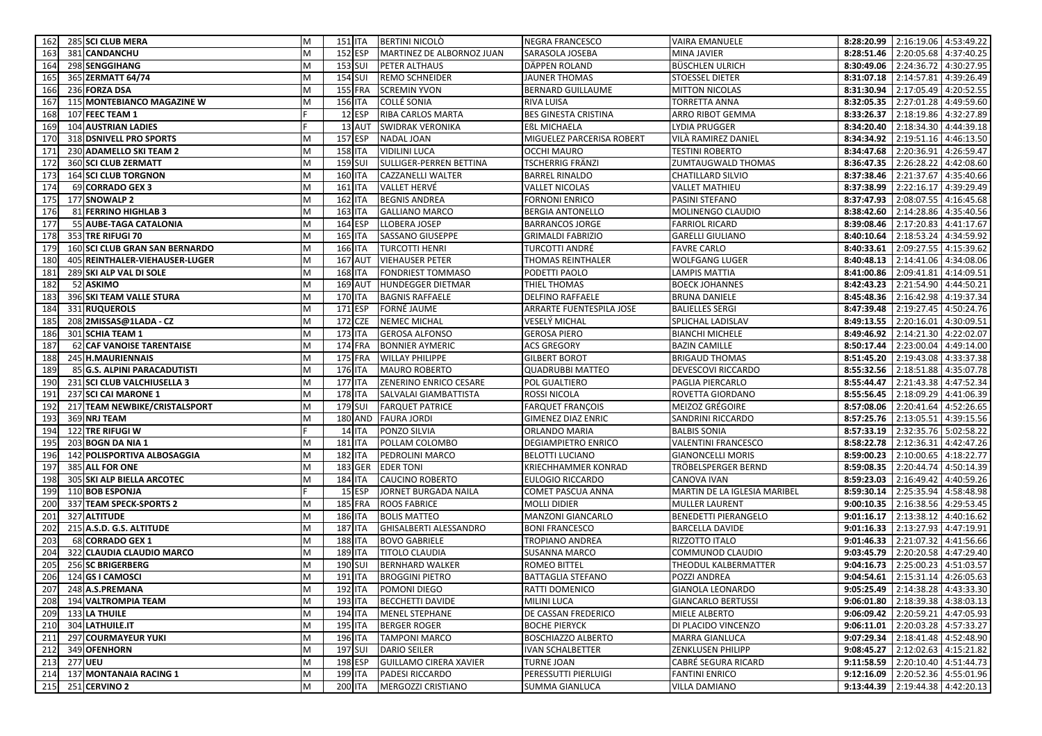| 162        | 285 SCI CLUB MERA                        | M      | 151 ITA                          |                | <b>BERTINI NICOLÒ</b>                         | <b>NEGRA FRANCESCO</b>                     | <b>VAIRA EMANUELE</b>                    |                          | 8:28:20.99 2:16:19.06 4:53:49.22       |                          |
|------------|------------------------------------------|--------|----------------------------------|----------------|-----------------------------------------------|--------------------------------------------|------------------------------------------|--------------------------|----------------------------------------|--------------------------|
| 163        | 381 CANDANCHU                            | M      | 152 ESP                          |                | MARTINEZ DE ALBORNOZ JUAN                     | SARASOLA JOSEBA                            | MINA JAVIER                              | 8:28:51.46               | 2:20:05.68 4:37:40.25                  |                          |
| 164        | 298 SENGGIHANG                           | M      | 153 SUI                          |                | <b>PETER ALTHAUS</b>                          | DÄPPEN ROLAND                              | <b>BÜSCHLEN ULRICH</b>                   | 8:30:49.06               | 2:24:36.72 4:30:27.95                  |                          |
| 165        | 365 ZERMATT 64/74                        | M      | 154 SUI                          |                | <b>REMO SCHNEIDER</b>                         | <b>JAUNER THOMAS</b>                       | STOESSEL DIETER                          | 8:31:07.18               | 2:14:57.81 4:39:26.49                  |                          |
| 166        | 236 FORZA DSA                            | M      | <b>155 FRA</b>                   |                | <b>SCREMIN YVON</b>                           | BERNARD GUILLAUME                          | <b>MITTON NICOLAS</b>                    | 8:31:30.94               | 2:17:05.49 4:20:52.55                  |                          |
| 167        | 115 MONTEBIANCO MAGAZINE W               | M      | <b>156 ITA</b>                   |                | COLLÉ SONIA                                   | RIVA LUISA                                 | <b>TORRETTA ANNA</b>                     | 8:32:05.35               | 2:27:01.28 4:49:59.60                  |                          |
| 168        | 107 FEEC TEAM 1                          |        |                                  | 12 ESP         | <b>RIBA CARLOS MARTA</b>                      | <b>BES GINESTA CRISTINA</b>                | ARRO RIBOT GEMMA                         | 8:33:26.37               | 2:18:19.86 4:32:27.89                  |                          |
| 169        | <b>104 AUSTRIAN LADIES</b>               |        |                                  | 13 AUT         | <b>SWIDRAK VERONIKA</b>                       | EßL MICHAELA                               | LYDIA PRUGGER                            | 8:34:20.40               | 2:18:34.30 4:44:39.18                  |                          |
| 170        | 318 DSNIVELL PRO SPORTS                  | M      | 157 ESP                          |                | NADAL JOAN                                    | MIGUELEZ PARCERISA ROBERT                  | VILÀ RAMIREZ DANIEL                      | 8:34:34.92               | 2:19:51.16 4:46:13.50                  |                          |
| 171        | 230 ADAMELLO SKI TEAM 2                  | M      | <b>158 ITA</b>                   |                | <b>VIDILINI LUCA</b>                          | OCCHI MAURO                                | <b>TESTINI ROBERTO</b>                   | 8:34:47.68               | 2:20:36.91                             | 4:26:59.47               |
| 172        | 360 SCI CLUB ZERMATT                     | M      | <b>159 SUI</b>                   |                | SULLIGER-PERREN BETTINA                       | TSCHERRIG FRÄNZI                           | ZUMTAUGWALD THOMAS                       | 8:36:47.35               | 2:26:28.22                             | 4:42:08.60               |
| 173        | <b>164 SCI CLUB TORGNON</b>              | M      | <b>160 ITA</b>                   |                | CAZZANELLI WALTER                             | BARREL RINALDO                             | <b>CHATILLARD SILVIO</b>                 | 8:37:38.46               | 2:21:37.67 4:35:40.66                  |                          |
| 174        | 69 CORRADO GEX 3                         | M      | <b>161 ITA</b>                   |                | VALLET HERVÉ                                  | <b>VALLET NICOLAS</b>                      | <b>VALLET MATHIEU</b>                    | 8:37:38.99               | 2:22:16.17 4:39:29.49                  |                          |
| 175        | 177 SNOWALP 2                            | M      | <b>162 ITA</b>                   |                | <b>BEGNIS ANDREA</b>                          | <b>FORNONI ENRICO</b>                      | PASINI STEFANO                           | 8:37:47.93               | 2:08:07.55                             | 4:16:45.68               |
| 176        | 81 FERRINO HIGHLAB 3                     | M      | <b>163 ITA</b>                   |                | <b>GALLIANO MARCO</b>                         | <b>BERGIA ANTONELLO</b>                    | MOLINENGO CLAUDIO                        | 8:38:42.60               | 2:14:28.86 4:35:40.56                  |                          |
| 177        | 55 AUBE-TAGA CATALONIA                   | M      | 164 ESP                          |                | LLOBERA JOSEP                                 | <b>BARRANCOS JORGE</b>                     | <b>FARRIOL RICARD</b>                    | 8:39:08.46               | 2:17:20.83                             | 4:41:17.67               |
| 178        | 353 TRE RIFUGI 70                        | M      | <b>165 ITA</b>                   |                | SASSANO GIUSEPPE                              | GRIMALDI FABRIZIO                          | <b>GARELLI GIULIANO</b>                  | 8:40:10.64               | 2:18:53.24                             | 4:34:59.92               |
| 179        | 160 SCI CLUB GRAN SAN BERNARDO           | M      | 166 ITA                          |                | <b>TURCOTTI HENRI</b>                         | TURCOTTI ANDRÉ                             | <b>FAVRE CARLO</b>                       | 8:40:33.61               | 2:09:27.55                             | 4:15:39.62               |
| 180        | 405 REINTHALER-VIEHAUSER-LUGER           | M      | <b>167 AUT</b>                   |                | <b>VIEHAUSER PETER</b>                        | THOMAS REINTHALER                          | <b>WOLFGANG LUGER</b>                    | 8:40:48.13               | 2:14:41.06                             | 4:34:08.06               |
| 181        | 289 SKI ALP VAL DI SOLE                  | M      | <b>168 ITA</b>                   |                | FONDRIEST TOMMASO                             | PODETTI PAOLO                              | <b>LAMPIS MATTIA</b>                     | 8:41:00.86               | 2:09:41.81                             | 4:14:09.51               |
| 182        | 52 ASKIMO                                | M      | <b>169 AUT</b>                   |                | <b>HUNDEGGER DIETMAR</b>                      | THIEL THOMAS                               | <b>BOECK JOHANNES</b>                    |                          | 8:42:43.23 2:21:54.90 4:44:50.21       |                          |
| 183        | 396 SKI TEAM VALLE STURA                 | M      | <b>170 ITA</b>                   |                | <b>BAGNIS RAFFAELE</b>                        | DELFINO RAFFAELE                           | <b>BRUNA DANIELE</b>                     | 8:45:48.36               | 2:16:42.98                             | 4:19:37.34               |
| 184        | 331 RUQUEROLS                            | M      | 171 ESP                          |                | FORNÉ JAUME                                   | ARRARTE FUENTESPILA JOSE                   | <b>BALIELLES SERGI</b>                   | 8:47:39.48               | 2:19:27.45                             | 4:50:24.76               |
| 185        | 208 2MISSAS@1LADA - CZ                   | M      | 172 CZE                          |                | <b>NEMEC MICHAL</b>                           | VESELÝ MICHAL                              | SPLICHAL LADISLAV                        | 8:49:13.55               | 2:20:16.01                             | 4:30:09.51               |
| 186        | 301 SCHIA TEAM 1                         | M      | 173 ITA                          |                | <b>GEROSA ALFONSO</b>                         | <b>GEROSA PIERO</b>                        | <b>BIANCHI MICHELE</b>                   | 8:49:46.92               | 2:14:21.30                             | 4:22:02.07               |
| 187        | 62 CAF VANOISE TARENTAISE                | M      | <b>174 FRA</b>                   |                | <b>BONNIER AYMERIC</b>                        | <b>ACS GREGORY</b>                         | <b>BAZIN CAMILLE</b>                     | 8:50:17.44               | 2:23:00.04                             | 4:49:14.00               |
| 188        | 245 H.MAURIENNAIS                        | M      | <b>175 FRA</b>                   |                | <b>WILLAY PHILIPPE</b>                        | <b>GILBERT BOROT</b>                       | <b>BRIGAUD THOMAS</b>                    | 8:51:45.20               | 2:19:43.08                             | 4:33:37.38               |
| 189        | 85 G.S. ALPINI PARACADUTISTI             | M      | 176 ITA                          |                | <b>MAURO ROBERTO</b>                          | QUADRUBBI MATTEO                           | DEVESCOVI RICCARDO                       | 8:55:32.56               | 2:18:51.88 4:35:07.78                  |                          |
| 190        | 231 SCI CLUB VALCHIUSELLA 3              | M      | <b>177 ITA</b>                   |                | ZENERINO ENRICO CESARE                        | POL GUALTIERO                              | PAGLIA PIERCARLO                         | 8:55:44.47               | 2:21:43.38 4:47:52.34                  |                          |
| 191        | 237 SCI CAI MARONE 1                     | M      | <b>178 ITA</b>                   |                | SALVALAI GIAMBATTISTA                         | ROSSI NICOLA                               | ROVETTA GIORDANO                         | 8:55:56.45               | 2:18:09.29 4:41:06.39                  |                          |
| 192        | 217 TEAM NEWBIKE/CRISTALSPORT            | M      | 179 SUI                          |                | <b>FARQUET PATRICE</b>                        | <b>FARQUET FRANÇOIS</b>                    | MEIZOZ GRÉGOIRE                          | 8:57:08.06               | 2:20:41.64 4:52:26.65                  |                          |
| 193        | 369 NRJ TEAM                             | M      |                                  | <b>180 AND</b> | <b>FAURA JORDI</b>                            | <b>GIMENEZ DIAZ ENRIC</b>                  | SANDRINI RICCARDO                        | 8:57:25.76               | 2:13:05.51 4:39:15.56                  |                          |
| 194        | 122 TRE RIFUGI W                         |        |                                  | <b>14 ITA</b>  | PONZO SILVIA                                  | ORLANDO MARIA                              | <b>BALBIS SONIA</b>                      | 8:57:33.19               | 2:32:35.76                             | 5:02:58.22               |
| 195        | 203 BOGN DA NIA 1                        | M      | <b>181 ITA</b>                   |                | POLLAM COLOMBO                                | DEGIAMPIETRO ENRICO                        | <b>VALENTINI FRANCESCO</b>               | 8:58:22.78               | 2:12:36.31                             | 4:42:47.26               |
| 196        | 142 POLISPORTIVA ALBOSAGGIA              | M      | <b>182 ITA</b>                   |                | PEDROLINI MARCO                               | <b>BELOTTI LUCIANO</b>                     | <b>GIANONCELLI MORIS</b>                 | 8:59:00.23               | 2:10:00.65                             | 4:18:22.77               |
| 197        | 385 ALL FOR ONE                          | M      |                                  | 183 GER        | <b>EDER TONI</b>                              | KRIECHHAMMER KONRAD                        | TRÖBELSPERGER BERND                      | 8:59:08.35               | 2:20:44.74                             | 4:50:14.39               |
| 198        | 305 SKI ALP BIELLA ARCOTEC               | M      | <b>184 ITA</b>                   |                | <b>CAUCINO ROBERTO</b>                        | EULOGIO RICCARDO                           | CANOVA IVAN                              | 8:59:23.03               | 2:16:49.42                             | 4:40:59.26               |
| 199        | 110 BOB ESPONJA                          |        |                                  | 15 ESP         | JORNET BURGADA NAILA                          | COMET PASCUA ANNA                          | MARTIN DE LA IGLESIA MARIBEL             |                          | 8:59:30.14 2:25:35.94 4:58:48.98       |                          |
| 200        | 337 TEAM SPECK-SPORTS 2                  | M      | <b>185 FRA</b>                   |                | <b>ROOS FABRICE</b>                           | MOLLI DIDIER                               | <b>MULLER LAURENT</b>                    | 9:00:10.35               | 2:16:38.56                             | 4:29:53.45               |
| 201        | 327 ALTITUDE<br>215 A.S.D. G.S. ALTITUDE | M<br>M | <b>186 ITA</b><br><b>187 ITA</b> |                | <b>BOLIS MATTEO</b>                           | MANZONI GIANCARLO<br><b>BONI FRANCESCO</b> | BENEDETTI PIERANGELO                     | 9:01:16.17<br>9:01:16.33 | 2:13:38.12<br>2:13:27.93               | 4:40:16.62               |
| 202        | 68 CORRADO GEX 1                         | M      | <b>188 ITA</b>                   |                | GHISALBERTI ALESSANDRO                        |                                            | <b>BARCELLA DAVIDE</b><br>RIZZOTTO ITALO | 9:01:46.33               | 2:21:07.32                             | 4:47:19.91<br>4:41:56.66 |
| 203<br>204 | 322 CLAUDIA CLAUDIO MARCO                | M      | <b>189 ITA</b>                   |                | <b>BOVO GABRIELE</b><br><b>TITOLO CLAUDIA</b> | TROPIANO ANDREA<br>SUSANNA MARCO           | COMMUNOD CLAUDIO                         | 9:03:45.79               | 2:20:20.58                             | 4:47:29.40               |
| 205        | 256 SC BRIGERBERG                        | M      | <b>190 SUI</b>                   |                | <b>BERNHARD WALKER</b>                        | ROMEO BITTEL                               | THEODUL KALBERMATTER                     | 9:04:16.73               | 2:25:00.23 4:51:03.57                  |                          |
| 206        | 124 GS I CAMOSCI                         | M      | 191 ITA                          |                | <b>BROGGINI PIETRO</b>                        | BATTAGLIA STEFANO                          | POZZI ANDREA                             |                          | 9:04:54.61 2:15:31.14 4:26:05.63       |                          |
|            | 207 248 A.S.PREMANA                      | M      |                                  |                | 192 ITA POMONI DIEGO                          | RATTI DOMENICO                             | GIANOLA LEONARDO                         |                          | 9:05:25.49 2:14:38.28 4:43:33.30       |                          |
|            | 208 194 VALTROMPIA TEAM                  | M      | <b>193 ITA</b>                   |                | <b>BECCHETTI DAVIDE</b>                       | <b>MILINI LUCA</b>                         | <b>GIANCARLO BERTUSSI</b>                |                          | $9:06:01.80$   2:18:39.38   4:38:03.13 |                          |
|            | 209 133 LA THUILE                        | M      | 194 ITA                          |                | <b>MENEL STEPHANE</b>                         | DE CASSAN FREDERICO                        | MIELE ALBERTO                            |                          | 9:06:09.42 2:20:59.21 4:47:05.93       |                          |
|            | 210 304 LATHUILE.IT                      | M      | 195 ITA                          |                | <b>BERGER ROGER</b>                           | <b>BOCHE PIERYCK</b>                       | DI PLACIDO VINCENZO                      |                          | 9:06:11.01 2:20:03.28 4:57:33.27       |                          |
|            | 211 297 COURMAYEUR YUKI                  | M      | 196 ITA                          |                | <b>TAMPONI MARCO</b>                          | <b>BOSCHIAZZO ALBERTO</b>                  | <b>MARRA GIANLUCA</b>                    |                          | 9:07:29.34 2:18:41.48 4:52:48.90       |                          |
|            | 212 349 OFENHORN                         | M      | <b>197 SUI</b>                   |                | <b>DARIO SEILER</b>                           | IVAN SCHALBETTER                           | ZENKLUSEN PHILIPP                        |                          | $9:08:45.27$ 2:12:02.63 4:15:21.82     |                          |
|            | 213 277 UEU                              | M      | 198 ESP                          |                | <b>GUILLAMO CIRERA XAVIER</b>                 | TURNE JOAN                                 | CABRÉ SEGURA RICARD                      |                          | 9:11:58.59 2:20:10.40 4:51:44.73       |                          |
|            | 214 137 MONTANAIA RACING 1               | M      | 199 ITA                          |                | <b>PADESI RICCARDO</b>                        | PERESSUTTI PIERLUIGI                       | <b>FANTINI ENRICO</b>                    |                          | $9:12:16.09$ 2:20:52.36 4:55:01.96     |                          |
|            | 215 251 CERVINO 2                        | M      | 200 ITA                          |                | MERGOZZI CRISTIANO                            | <b>SUMMA GIANLUCA</b>                      | <b>VILLA DAMIANO</b>                     |                          | 9:13:44.39 2:19:44.38 4:42:20.13       |                          |
|            |                                          |        |                                  |                |                                               |                                            |                                          |                          |                                        |                          |